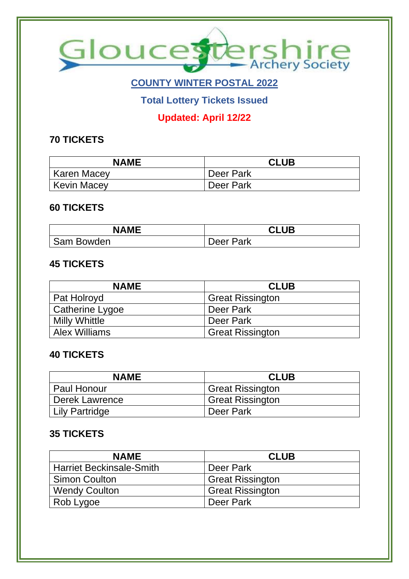

# **COUNTY WINTER POSTAL 2022**

**Total Lottery Tickets Issued**

### **Updated: April 12/22**

### **70 TICKETS**

| <b>NAME</b> | <b>CLUB</b> |
|-------------|-------------|
| Karen Macey | Deer Park   |
| Kevin Macey | Deer Park   |

#### **60 TICKETS**

| <b>NAME</b> | <b>CLUB</b>      |
|-------------|------------------|
| Sam Bowden  | <b>Deer Park</b> |

#### **45 TICKETS**

| <b>NAME</b>          | <b>CLUB</b>             |
|----------------------|-------------------------|
| Pat Holroyd          | <b>Great Rissington</b> |
| Catherine Lygoe      | Deer Park               |
| <b>Milly Whittle</b> | Deer Park               |
| <b>Alex Williams</b> | <b>Great Rissington</b> |

#### **40 TICKETS**

| <b>NAME</b>    | <b>CLUB</b>             |
|----------------|-------------------------|
| l Paul Honour  | <b>Great Rissington</b> |
| Derek Lawrence | <b>Great Rissington</b> |
| Lily Partridge | Deer Park               |

#### **35 TICKETS**

| <b>NAME</b>                     | <b>CLUB</b>             |
|---------------------------------|-------------------------|
| <b>Harriet Beckinsale-Smith</b> | Deer Park               |
| <b>Simon Coulton</b>            | <b>Great Rissington</b> |
| <b>Wendy Coulton</b>            | <b>Great Rissington</b> |
| Rob Lygoe                       | Deer Park               |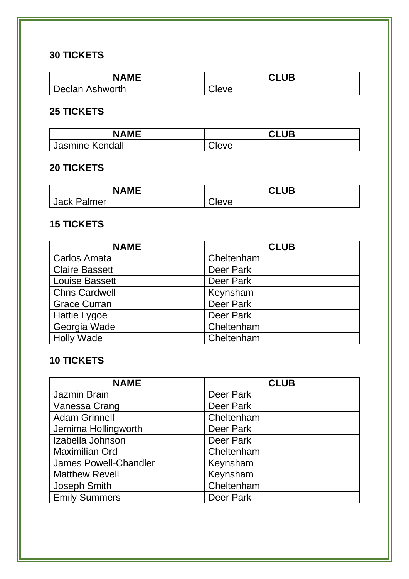### **30 TICKETS**

| <b>NAME</b>     | <b>CLUB</b> |
|-----------------|-------------|
| Declan Ashworth | Cleve       |

### **25 TICKETS**

| <b>NAME</b>            | <b>CLUB</b> |
|------------------------|-------------|
| <b>Jasmine Kendall</b> | eveٽ        |

### **20 TICKETS**

| <b>NAME</b>        | <b>CLUB</b> |
|--------------------|-------------|
| <b>Jack Palmer</b> | Cleve       |

## **15 TICKETS**

| <b>NAME</b>           | <b>CLUB</b> |
|-----------------------|-------------|
| <b>Carlos Amata</b>   | Cheltenham  |
| <b>Claire Bassett</b> | Deer Park   |
| <b>Louise Bassett</b> | Deer Park   |
| <b>Chris Cardwell</b> | Keynsham    |
| <b>Grace Curran</b>   | Deer Park   |
| Hattie Lygoe          | Deer Park   |
| Georgia Wade          | Cheltenham  |
| <b>Holly Wade</b>     | Cheltenham  |

## **10 TICKETS**

| <b>NAME</b>                  | <b>CLUB</b> |
|------------------------------|-------------|
| Jazmin Brain                 | Deer Park   |
| Vanessa Crang                | Deer Park   |
| <b>Adam Grinnell</b>         | Cheltenham  |
| Jemima Hollingworth          | Deer Park   |
| Izabella Johnson             | Deer Park   |
| <b>Maximilian Ord</b>        | Cheltenham  |
| <b>James Powell-Chandler</b> | Keynsham    |
| <b>Matthew Revell</b>        | Keynsham    |
| Joseph Smith                 | Cheltenham  |
| <b>Emily Summers</b>         | Deer Park   |